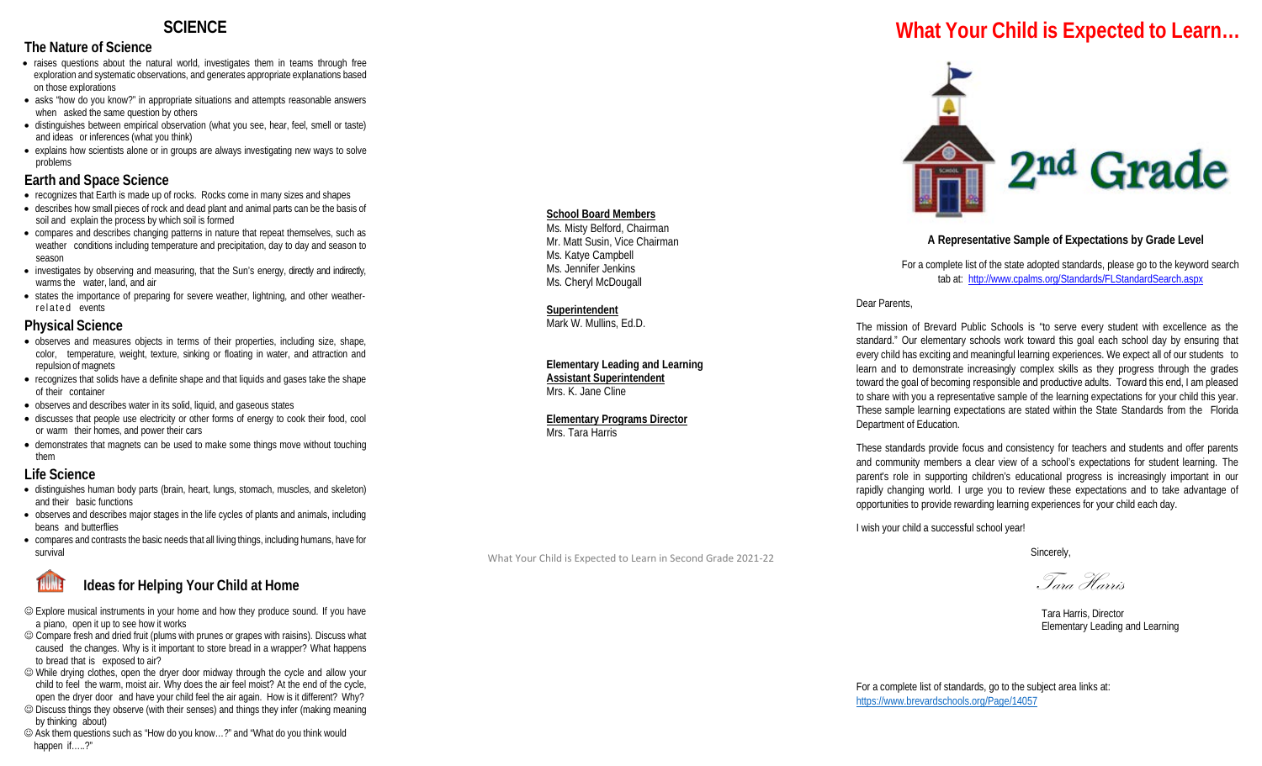## **SCIENCE**

### **The Nature of Science**

- raises questions about the natural world, investigates them in teams through free exploration and systematic observations, and generates appropriate explanations based on those explorations
- asks "how do you know?" in appropriate situations and attempts reasonable answers when asked the same question by others
- distinguishes between empirical observation (what you see, hear, feel, smell or taste) and ideas or inferences (what you think)
- explains how scientists alone or in groups are always investigating new ways to solve problems

### **Earth and Space Science**

- recognizes that Earth is made up of rocks. Rocks come in many sizes and shapes
- describes how small pieces of rock and dead plant and animal parts can be the basis of soil and explain the process by which soil is formed
- compares and describes changing patterns in nature that repeat themselves, such as weather conditions including temperature and precipitation, day to day and season to season
- investigates by observing and measuring, that the Sun's energy, directly and indirectly, warms the water, land, and air
- states the importance of preparing for severe weather, lightning, and other weatherrelated events

### **Physical Science**

- observes and measures objects in terms of their properties, including size, shape, color, temperature, weight, texture, sinking or floating in water, and attraction and repulsion of magnets
- recognizes that solids have a definite shape and that liquids and gases take the shape of their container
- observes and describes water in its solid, liquid, and gaseous states
- discusses that people use electricity or other forms of energy to cook their food, cool or warm their homes, and power their cars
- demonstrates that magnets can be used to make some things move without touching them

### **Life Science**

- distinguishes human body parts (brain, heart, lungs, stomach, muscles, and skeleton) and their basic functions
- observes and describes major stages in the life cycles of plants and animals, including beans and butterflies
- compares and contrasts the basic needs that all living things, including humans, have for survival

## **Ideas for Helping Your Child at Home**

- Explore musical instruments in your home and how they produce sound. If you have a piano, open it up to see how it works
- Compare fresh and dried fruit (plums with prunes or grapes with raisins). Discuss what caused the changes. Why is it important to store bread in a wrapper? What happens to bread that is exposed to air?
- While drying clothes, open the dryer door midway through the cycle and allow your child to feel the warm, moist air. Why does the air feel moist? At the end of the cycle, open the dryer door and have your child feel the air again. How is it different? Why?
- Discuss things they observe (with their senses) and things they infer (making meaning by thinking about)
- Ask them questions such as "How do you know…?" and "What do you think would happen if…..?"

## **School Board Members**

Ms. Misty Belford, Chairman Mr. Matt Susin, Vice Chairman Ms. Katye Campbell Ms. Jennifer Jenkins Ms. Cheryl McDougall

#### **Superintendent**

Mark W. Mullins, Ed.D.

**Elementary Leading and Learning Assistant Superintendent** Mrs. K. Jane Cline

**Elementary Programs Director** Mrs. Tara Harris

What Your Child is Expected to Learn in Second Grade 2021-22

# **What Your Child is Expected to Learn…**



### **A Representative Sample of Expectations by Grade Level**

For a complete list of the state adopted standards, please go to the keyword search tab at:<http://www.cpalms.org/Standards/FLStandardSearch.aspx>

Dear Parents,

The mission of Brevard Public Schools is "to serve every student with excellence as the standard." Our elementary schools work toward this goal each school day by ensuring that every child has exciting and meaningful learning experiences. We expect all of our students to learn and to demonstrate increasingly complex skills as they progress through the grades toward the goal of becoming responsible and productive adults. Toward this end, I am pleased to share with you a representative sample of the learning expectations for your child this year. These sample learning expectations are stated within the State Standards from the Florida Department of Education.

These standards provide focus and consistency for teachers and students and offer parents and community members a clear view of a school's expectations for student learning. The parent's role in supporting children's educational progress is increasingly important in our rapidly changing world. I urge you to review these expectations and to take advantage of opportunities to provide rewarding learning experiences for your child each day.

I wish your child a successful school year!

Sincerely,

Tara Harris

 Tara Harris, Director Elementary Leading and Learning

For a complete list of standards, go to the subject area links at: <https://www.brevardschools.org/Page/14057>